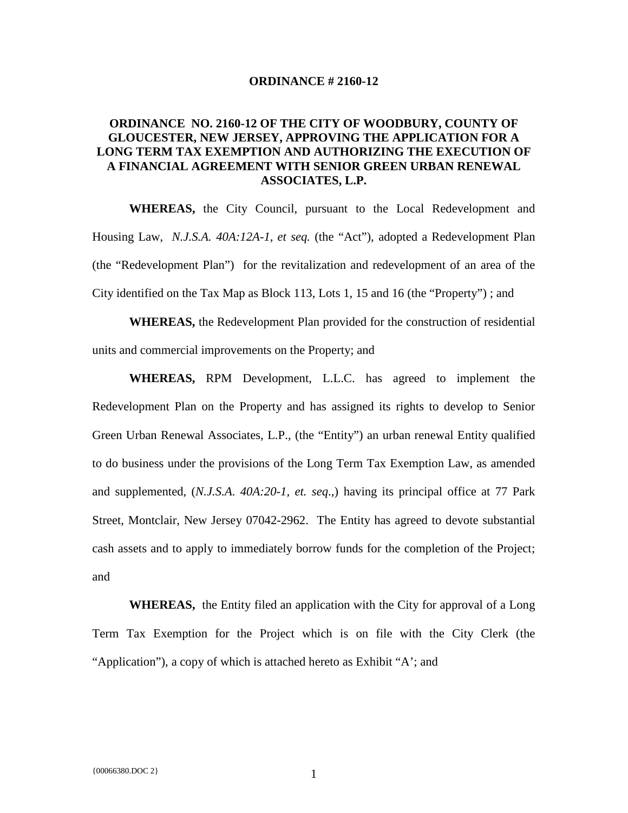## **ORDINANCE # 2160-12**

## **ORDINANCE NO. 2160-12 OF THE CITY OF WOODBURY, COUNTY OF GLOUCESTER, NEW JERSEY, APPROVING THE APPLICATION FOR A LONG TERM TAX EXEMPTION AND AUTHORIZING THE EXECUTION OF A FINANCIAL AGREEMENT WITH SENIOR GREEN URBAN RENEWAL ASSOCIATES, L.P.**

**WHEREAS,** the City Council, pursuant to the Local Redevelopment and Housing Law, *N.J.S.A. 40A:12A-1, et seq.* (the "Act"), adopted a Redevelopment Plan (the "Redevelopment Plan") for the revitalization and redevelopment of an area of the City identified on the Tax Map as Block 113, Lots 1, 15 and 16 (the "Property") ; and

**WHEREAS,** the Redevelopment Plan provided for the construction of residential units and commercial improvements on the Property; and

**WHEREAS,** RPM Development, L.L.C. has agreed to implement the Redevelopment Plan on the Property and has assigned its rights to develop to Senior Green Urban Renewal Associates, L.P., (the "Entity") an urban renewal Entity qualified to do business under the provisions of the Long Term Tax Exemption Law, as amended and supplemented, (*N.J.S.A*. *40A:20*-*1, et. seq*.,) having its principal office at 77 Park Street, Montclair, New Jersey 07042-2962. The Entity has agreed to devote substantial cash assets and to apply to immediately borrow funds for the completion of the Project; and

 **WHEREAS,** the Entity filed an application with the City for approval of a Long Term Tax Exemption for the Project which is on file with the City Clerk (the "Application"), a copy of which is attached hereto as Exhibit "A'; and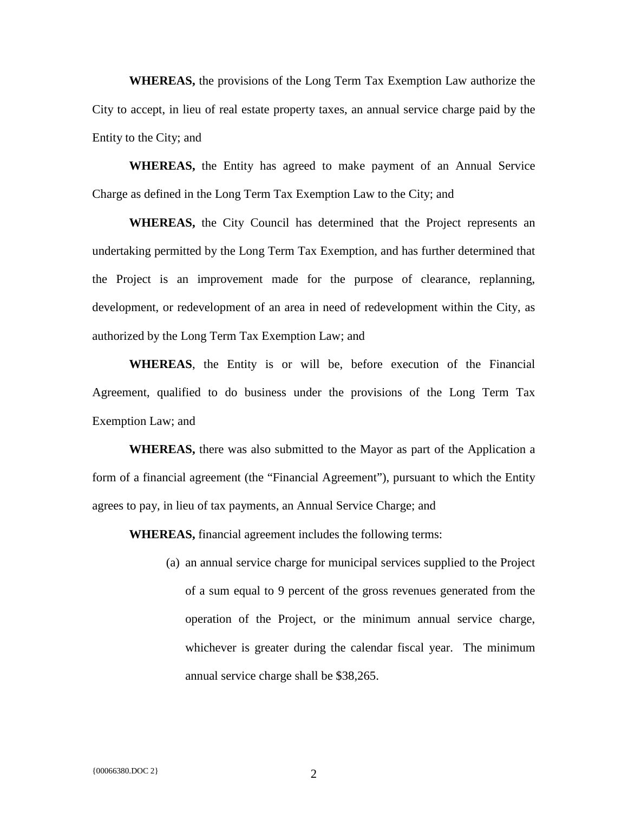**WHEREAS,** the provisions of the Long Term Tax Exemption Law authorize the City to accept, in lieu of real estate property taxes, an annual service charge paid by the Entity to the City; and

**WHEREAS,** the Entity has agreed to make payment of an Annual Service Charge as defined in the Long Term Tax Exemption Law to the City; and

**WHEREAS,** the City Council has determined that the Project represents an undertaking permitted by the Long Term Tax Exemption, and has further determined that the Project is an improvement made for the purpose of clearance, replanning, development, or redevelopment of an area in need of redevelopment within the City, as authorized by the Long Term Tax Exemption Law; and

**WHEREAS**, the Entity is or will be, before execution of the Financial Agreement, qualified to do business under the provisions of the Long Term Tax Exemption Law; and

**WHEREAS,** there was also submitted to the Mayor as part of the Application a form of a financial agreement (the "Financial Agreement"), pursuant to which the Entity agrees to pay, in lieu of tax payments, an Annual Service Charge; and

**WHEREAS,** financial agreement includes the following terms:

(a) an annual service charge for municipal services supplied to the Project of a sum equal to 9 percent of the gross revenues generated from the operation of the Project, or the minimum annual service charge, whichever is greater during the calendar fiscal year. The minimum annual service charge shall be \$38,265.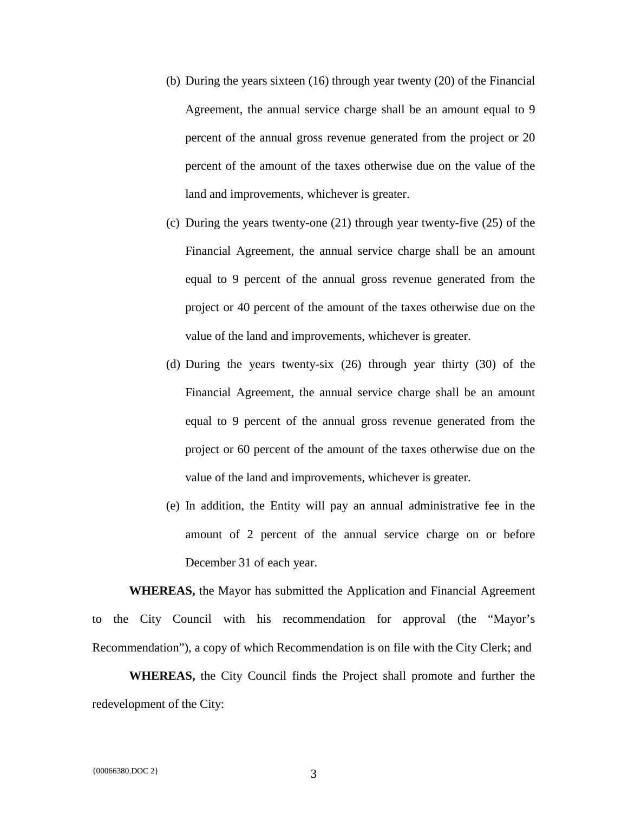- (b) During the years sixteen (16) through year twenty (20) of the Financial Agreement, the annual service charge shall be an amount equal to 9 percent of the annual gross revenue generated from the project or 20 percent of the amount of the taxes otherwise due on the value of the land and improvements, whichever is greater.
- (c) During the years twenty-one (21) through year twenty-five (25) of the Financial Agreement, the annual service charge shall be an amount equal to 9 percent of the annual gross revenue generated from the project or 40 percent of the amount of the taxes otherwise due on the value of the land and improvements, whichever is greater.
- (d) During the years twenty-six (26) through year thirty (30) of the Financial Agreement, the annual service charge shall be an amount equal to 9 percent of the annual gross revenue generated from the project or 60 percent of the amount of the taxes otherwise due on the value of the land and improvements, whichever is greater.
- (e) In addition, the Entity will pay an annual administrative fee in the amount of 2 percent of the annual service charge on or before December 31 of each year.

**WHEREAS,** the Mayor has submitted the Application and Financial Agreement to the City Council with his recommendation for approval (the "Mayor's Recommendation"), a copy of which Recommendation is on file with the City Clerk; and

**WHEREAS,** the City Council finds the Project shall promote and further the redevelopment of the City: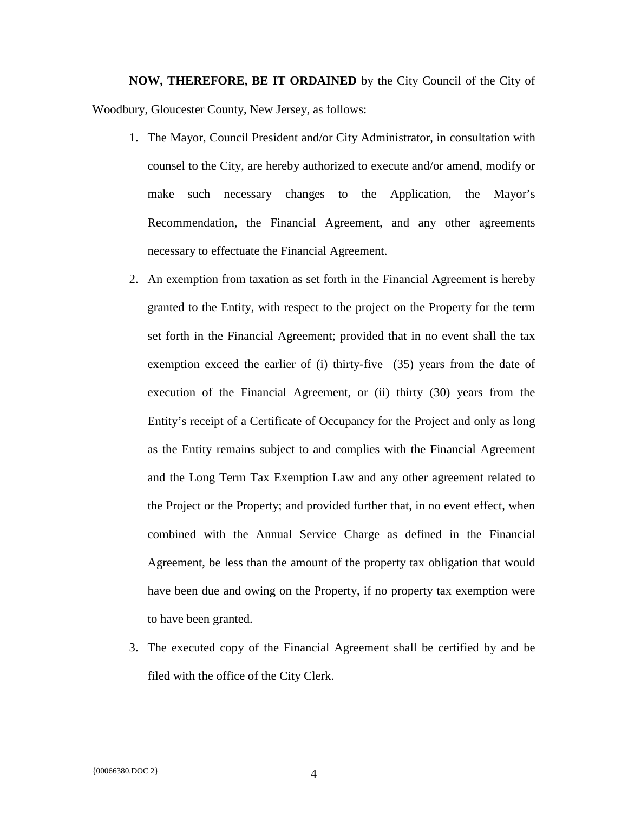**NOW, THEREFORE, BE IT ORDAINED** by the City Council of the City of Woodbury, Gloucester County, New Jersey, as follows:

- 1. The Mayor, Council President and/or City Administrator, in consultation with counsel to the City, are hereby authorized to execute and/or amend, modify or make such necessary changes to the Application, the Mayor's Recommendation, the Financial Agreement, and any other agreements necessary to effectuate the Financial Agreement.
- 2. An exemption from taxation as set forth in the Financial Agreement is hereby granted to the Entity, with respect to the project on the Property for the term set forth in the Financial Agreement; provided that in no event shall the tax exemption exceed the earlier of (i) thirty-five (35) years from the date of execution of the Financial Agreement, or (ii) thirty (30) years from the Entity's receipt of a Certificate of Occupancy for the Project and only as long as the Entity remains subject to and complies with the Financial Agreement and the Long Term Tax Exemption Law and any other agreement related to the Project or the Property; and provided further that, in no event effect, when combined with the Annual Service Charge as defined in the Financial Agreement, be less than the amount of the property tax obligation that would have been due and owing on the Property, if no property tax exemption were to have been granted.
- 3. The executed copy of the Financial Agreement shall be certified by and be filed with the office of the City Clerk.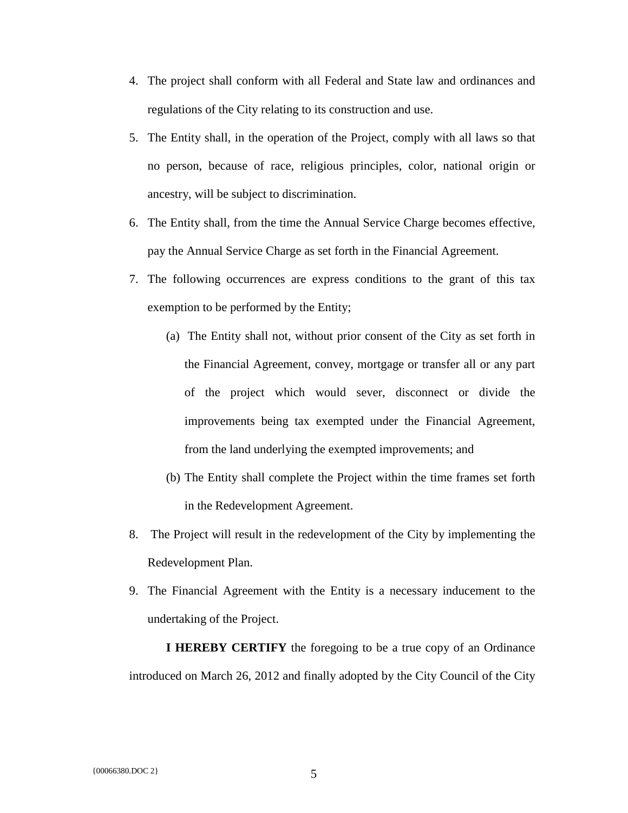- 4. The project shall conform with all Federal and State law and ordinances and regulations of the City relating to its construction and use.
- 5. The Entity shall, in the operation of the Project, comply with all laws so that no person, because of race, religious principles, color, national origin or ancestry, will be subject to discrimination.
- 6. The Entity shall, from the time the Annual Service Charge becomes effective, pay the Annual Service Charge as set forth in the Financial Agreement.
- 7. The following occurrences are express conditions to the grant of this tax exemption to be performed by the Entity;
	- (a) The Entity shall not, without prior consent of the City as set forth in the Financial Agreement, convey, mortgage or transfer all or any part of the project which would sever, disconnect or divide the improvements being tax exempted under the Financial Agreement, from the land underlying the exempted improvements; and
	- (b) The Entity shall complete the Project within the time frames set forth in the Redevelopment Agreement.
- 8. The Project will result in the redevelopment of the City by implementing the Redevelopment Plan.
- 9. The Financial Agreement with the Entity is a necessary inducement to the undertaking of the Project.

**I HEREBY CERTIFY** the foregoing to be a true copy of an Ordinance introduced on March 26, 2012 and finally adopted by the City Council of the City